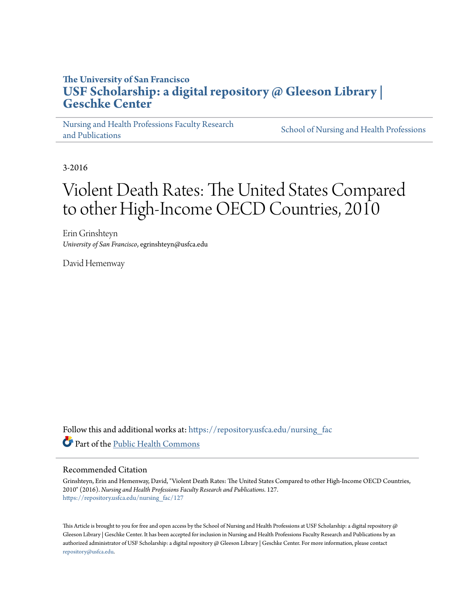## **The University of San Francisco [USF Scholarship: a digital repository @ Gleeson Library |](https://repository.usfca.edu?utm_source=repository.usfca.edu%2Fnursing_fac%2F127&utm_medium=PDF&utm_campaign=PDFCoverPages) [Geschke Center](https://repository.usfca.edu?utm_source=repository.usfca.edu%2Fnursing_fac%2F127&utm_medium=PDF&utm_campaign=PDFCoverPages)**

[Nursing and Health Professions Faculty Research](https://repository.usfca.edu/nursing_fac?utm_source=repository.usfca.edu%2Fnursing_fac%2F127&utm_medium=PDF&utm_campaign=PDFCoverPages) [and Publications](https://repository.usfca.edu/nursing_fac?utm_source=repository.usfca.edu%2Fnursing_fac%2F127&utm_medium=PDF&utm_campaign=PDFCoverPages)

[School of Nursing and Health Professions](https://repository.usfca.edu/nursing?utm_source=repository.usfca.edu%2Fnursing_fac%2F127&utm_medium=PDF&utm_campaign=PDFCoverPages)

3-2016

# Violent Death Rates: The United States Compared to other High-Income OECD Countries, 2010

Erin Grinshteyn *University of San Francisco*, egrinshteyn@usfca.edu

David Hemenway

Follow this and additional works at: [https://repository.usfca.edu/nursing\\_fac](https://repository.usfca.edu/nursing_fac?utm_source=repository.usfca.edu%2Fnursing_fac%2F127&utm_medium=PDF&utm_campaign=PDFCoverPages) Part of the [Public Health Commons](http://network.bepress.com/hgg/discipline/738?utm_source=repository.usfca.edu%2Fnursing_fac%2F127&utm_medium=PDF&utm_campaign=PDFCoverPages)

#### Recommended Citation

Grinshteyn, Erin and Hemenway, David, "Violent Death Rates: The United States Compared to other High-Income OECD Countries, 2010" (2016). *Nursing and Health Professions Faculty Research and Publications*. 127. [https://repository.usfca.edu/nursing\\_fac/127](https://repository.usfca.edu/nursing_fac/127?utm_source=repository.usfca.edu%2Fnursing_fac%2F127&utm_medium=PDF&utm_campaign=PDFCoverPages)

This Article is brought to you for free and open access by the School of Nursing and Health Professions at USF Scholarship: a digital repository @ Gleeson Library | Geschke Center. It has been accepted for inclusion in Nursing and Health Professions Faculty Research and Publications by an authorized administrator of USF Scholarship: a digital repository @ Gleeson Library | Geschke Center. For more information, please contact [repository@usfca.edu](mailto:repository@usfca.edu).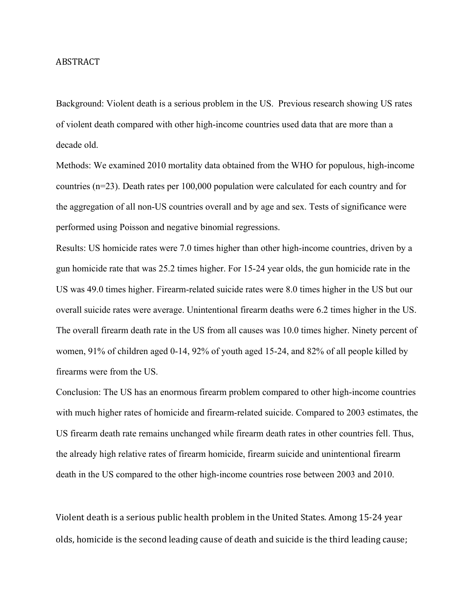#### ABSTRACT

Background: Violent death is a serious problem in the US. Previous research showing US rates of violent death compared with other high-income countries used data that are more than a decade old.

Methods: We examined 2010 mortality data obtained from the WHO for populous, high-income countries (n=23). Death rates per 100,000 population were calculated for each country and for the aggregation of all non-US countries overall and by age and sex. Tests of significance were performed using Poisson and negative binomial regressions.

Results: US homicide rates were 7.0 times higher than other high-income countries, driven by a gun homicide rate that was 25.2 times higher. For 15-24 year olds, the gun homicide rate in the US was 49.0 times higher. Firearm-related suicide rates were 8.0 times higher in the US but our overall suicide rates were average. Unintentional firearm deaths were 6.2 times higher in the US. The overall firearm death rate in the US from all causes was 10.0 times higher. Ninety percent of women, 91% of children aged 0-14, 92% of youth aged 15-24, and 82% of all people killed by firearms were from the US.

Conclusion: The US has an enormous firearm problem compared to other high-income countries with much higher rates of homicide and firearm-related suicide. Compared to 2003 estimates, the US firearm death rate remains unchanged while firearm death rates in other countries fell. Thus, the already high relative rates of firearm homicide, firearm suicide and unintentional firearm death in the US compared to the other high-income countries rose between 2003 and 2010.

Violent death is a serious public health problem in the United States. Among 15-24 year olds, homicide is the second leading cause of death and suicide is the third leading cause;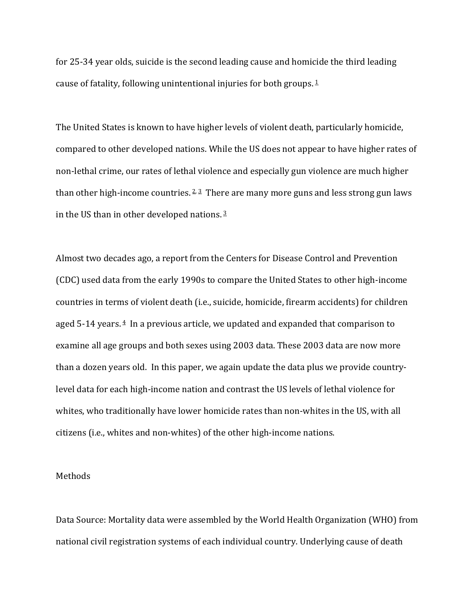for 25-34 year olds, suicide is the second leading cause and homicide the third leading cause of fatality, following unintentional injuries for both groups.  $1$ 

The United States is known to have higher levels of violent death, particularly homicide, compared to other developed nations. While the US does not appear to have higher rates of non-lethal crime, our rates of lethal violence and especially gun violence are much higher than other high-income countries.  $2\frac{3}{7}$  There are many more guns and less strong gun laws in the US than in other developed nations.  $\frac{3}{2}$ 

Almost two decades ago, a report from the Centers for Disease Control and Prevention (CDC) used data from the early 1990s to compare the United States to other high-income countries in terms of violent death (i.e., suicide, homicide, firearm accidents) for children aged  $5-14$  years.  $4$  In a previous article, we updated and expanded that comparison to examine all age groups and both sexes using 2003 data. These 2003 data are now more than a dozen years old. In this paper, we again update the data plus we provide countrylevel data for each high-income nation and contrast the US levels of lethal violence for whites, who traditionally have lower homicide rates than non-whites in the US, with all citizens (i.e., whites and non-whites) of the other high-income nations.

#### Methods

Data Source: Mortality data were assembled by the World Health Organization (WHO) from national civil registration systems of each individual country. Underlying cause of death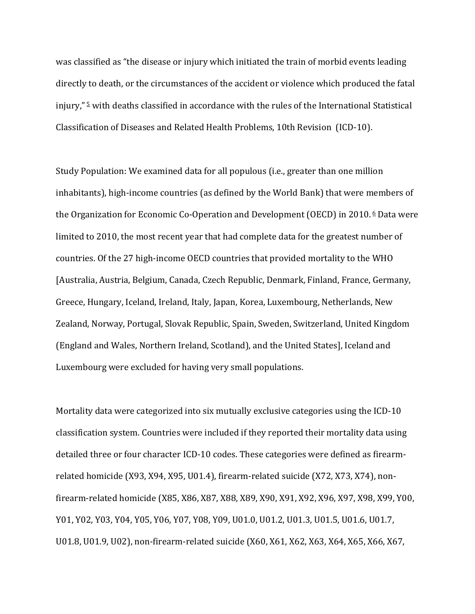was classified as "the disease or injury which initiated the train of morbid events leading directly to death, or the circumstances of the accident or violence which produced the fatal injury," $\frac{5}{2}$  with deaths classified in accordance with the rules of the International Statistical Classification of Diseases and Related Health Problems, 10th Revision (ICD-10).

Study Population: We examined data for all populous (i.e., greater than one million inhabitants), high-income countries (as defined by the World Bank) that were members of the Organization for Economic Co-Operation and Development (OECD) in 2010.  $6$  Data were limited to 2010, the most recent year that had complete data for the greatest number of countries. Of the 27 high-income OECD countries that provided mortality to the WHO [Australia, Austria, Belgium, Canada, Czech Republic, Denmark, Finland, France, Germany, Greece, Hungary, Iceland, Ireland, Italy, Japan, Korea, Luxembourg, Netherlands, New Zealand, Norway, Portugal, Slovak Republic, Spain, Sweden, Switzerland, United Kingdom (England and Wales, Northern Ireland, Scotland), and the United States], Iceland and Luxembourg were excluded for having very small populations.

Mortality data were categorized into six mutually exclusive categories using the ICD-10 classification system. Countries were included if they reported their mortality data using detailed three or four character ICD-10 codes. These categories were defined as firearmrelated homicide (X93, X94, X95, U01.4), firearm-related suicide (X72, X73, X74), nonfirearm-related homicide (X85, X86, X87, X88, X89, X90, X91, X92, X96, X97, X98, X99, Y00, Y01, Y02, Y03, Y04, Y05, Y06, Y07, Y08, Y09, U01.0, U01.2, U01.3, U01.5, U01.6, U01.7, U01.8, U01.9, U02), non-firearm-related suicide (X60, X61, X62, X63, X64, X65, X66, X67,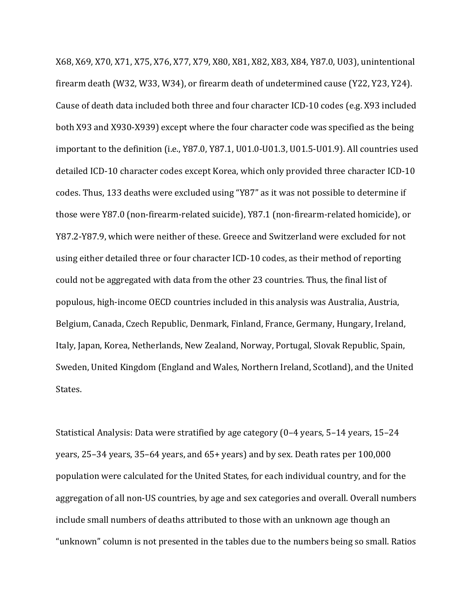X68, X69, X70, X71, X75, X76, X77, X79, X80, X81, X82, X83, X84, Y87.0, U03), unintentional firearm death (W32, W33, W34), or firearm death of undetermined cause (Y22, Y23, Y24). Cause of death data included both three and four character ICD-10 codes (e.g. X93 included both X93 and X930-X939) except where the four character code was specified as the being important to the definition (i.e., Y87.0, Y87.1, U01.0-U01.3, U01.5-U01.9). All countries used detailed ICD-10 character codes except Korea, which only provided three character ICD-10 codes. Thus, 133 deaths were excluded using "Y87" as it was not possible to determine if those were Y87.0 (non-firearm-related suicide), Y87.1 (non-firearm-related homicide), or Y87.2-Y87.9, which were neither of these. Greece and Switzerland were excluded for not using either detailed three or four character ICD-10 codes, as their method of reporting could not be aggregated with data from the other 23 countries. Thus, the final list of populous, high-income OECD countries included in this analysis was Australia, Austria, Belgium, Canada, Czech Republic, Denmark, Finland, France, Germany, Hungary, Ireland, Italy, Japan, Korea, Netherlands, New Zealand, Norway, Portugal, Slovak Republic, Spain, Sweden, United Kingdom (England and Wales, Northern Ireland, Scotland), and the United States.

Statistical Analysis: Data were stratified by age category  $(0-4 \text{ years}, 5-14 \text{ years}, 15-24 \text{ years})$ years,  $25-34$  years,  $35-64$  years, and  $65+$  years) and by sex. Death rates per  $100,000$ population were calculated for the United States, for each individual country, and for the aggregation of all non-US countries, by age and sex categories and overall. Overall numbers include small numbers of deaths attributed to those with an unknown age though an "unknown" column is not presented in the tables due to the numbers being so small. Ratios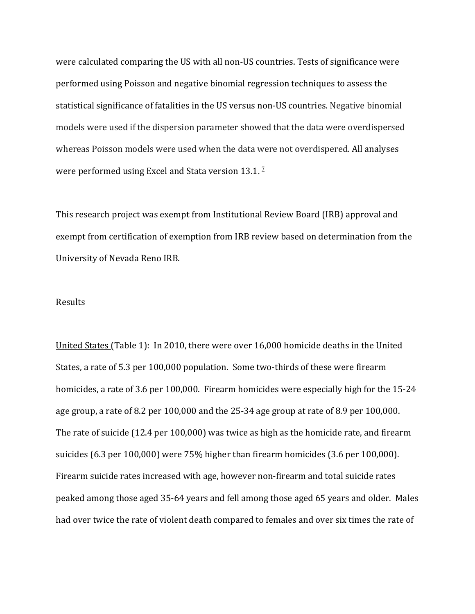were calculated comparing the US with all non-US countries. Tests of significance were performed using Poisson and negative binomial regression techniques to assess the statistical significance of fatalities in the US versus non-US countries. Negative binomial models were used if the dispersion parameter showed that the data were overdispersed whereas Poisson models were used when the data were not overdispered. All analyses were performed using Excel and Stata version  $13.1$ . <sup>7</sup>

This research project was exempt from Institutional Review Board (IRB) approval and exempt from certification of exemption from IRB review based on determination from the University of Nevada Reno IRB.

#### Results

United States (Table 1): In 2010, there were over 16,000 homicide deaths in the United States, a rate of 5.3 per 100,000 population. Some two-thirds of these were firearm homicides, a rate of 3.6 per 100,000. Firearm homicides were especially high for the 15-24 age group, a rate of  $8.2$  per  $100,000$  and the  $25-34$  age group at rate of  $8.9$  per  $100,000$ . The rate of suicide  $(12.4 \text{ per } 100,000)$  was twice as high as the homicide rate, and firearm suicides  $(6.3 \text{ per } 100,000)$  were  $75\%$  higher than firearm homicides  $(3.6 \text{ per } 100,000)$ . Firearm suicide rates increased with age, however non-firearm and total suicide rates peaked among those aged 35-64 years and fell among those aged 65 years and older. Males had over twice the rate of violent death compared to females and over six times the rate of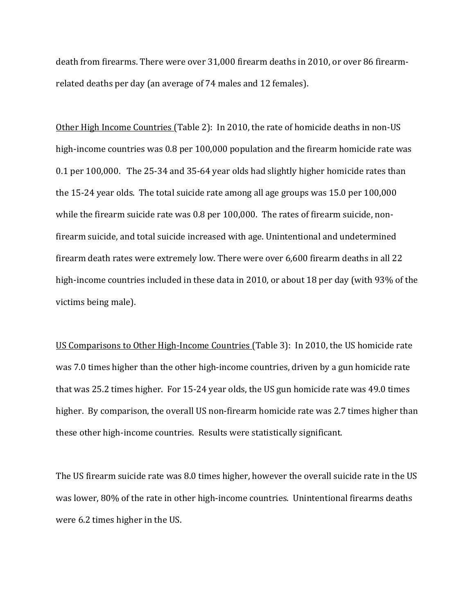death from firearms. There were over 31,000 firearm deaths in 2010, or over 86 firearmrelated deaths per day (an average of 74 males and 12 females).

Other High Income Countries (Table 2): In 2010, the rate of homicide deaths in non-US high-income countries was  $0.8$  per 100,000 population and the firearm homicide rate was 0.1 per 100,000. The 25-34 and 35-64 year olds had slightly higher homicide rates than the  $15-24$  year olds. The total suicide rate among all age groups was  $15.0$  per  $100,000$ while the firearm suicide rate was  $0.8$  per 100,000. The rates of firearm suicide, nonfirearm suicide, and total suicide increased with age. Unintentional and undetermined firearm death rates were extremely low. There were over 6,600 firearm deaths in all 22 high-income countries included in these data in 2010, or about 18 per day (with 93% of the victims being male).

US Comparisons to Other High-Income Countries (Table 3): In 2010, the US homicide rate was 7.0 times higher than the other high-income countries, driven by a gun homicide rate that was 25.2 times higher. For 15-24 year olds, the US gun homicide rate was 49.0 times higher. By comparison, the overall US non-firearm homicide rate was 2.7 times higher than these other high-income countries. Results were statistically significant.

The US firearm suicide rate was 8.0 times higher, however the overall suicide rate in the US was lower, 80% of the rate in other high-income countries. Unintentional firearms deaths were 6.2 times higher in the US.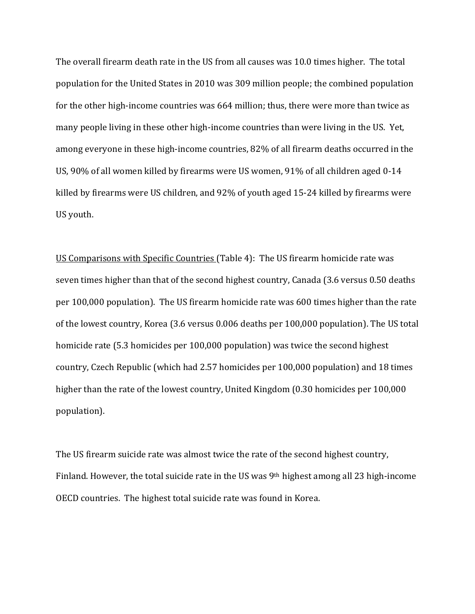The overall firearm death rate in the US from all causes was 10.0 times higher. The total population for the United States in 2010 was 309 million people; the combined population for the other high-income countries was 664 million; thus, there were more than twice as many people living in these other high-income countries than were living in the US. Yet, among everyone in these high-income countries, 82% of all firearm deaths occurred in the US, 90% of all women killed by firearms were US women, 91% of all children aged 0-14 killed by firearms were US children, and 92% of youth aged 15-24 killed by firearms were US vouth.

US Comparisons with Specific Countries (Table 4): The US firearm homicide rate was seven times higher than that of the second highest country, Canada (3.6 versus 0.50 deaths per 100,000 population). The US firearm homicide rate was 600 times higher than the rate of the lowest country, Korea (3.6 versus 0.006 deaths per 100,000 population). The US total homicide rate (5.3 homicides per 100,000 population) was twice the second highest country, Czech Republic (which had 2.57 homicides per 100,000 population) and 18 times higher than the rate of the lowest country, United Kingdom (0.30 homicides per 100,000 population).

The US firearm suicide rate was almost twice the rate of the second highest country, Finland. However, the total suicide rate in the US was  $9<sup>th</sup>$  highest among all 23 high-income OECD countries. The highest total suicide rate was found in Korea.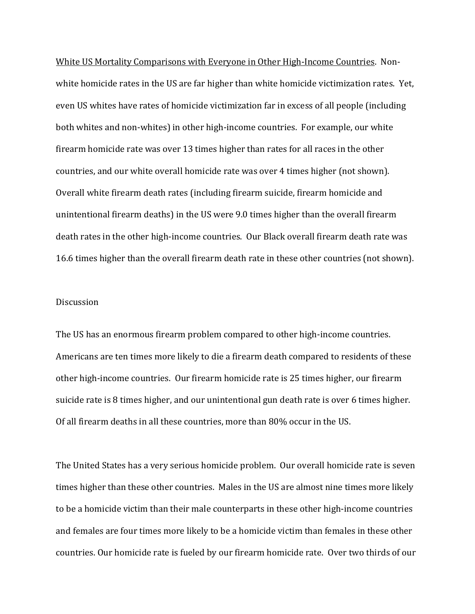White US Mortality Comparisons with Everyone in Other High-Income Countries. Nonwhite homicide rates in the US are far higher than white homicide victimization rates. Yet, even US whites have rates of homicide victimization far in excess of all people (including both whites and non-whites) in other high-income countries. For example, our white firearm homicide rate was over 13 times higher than rates for all races in the other countries, and our white overall homicide rate was over 4 times higher (not shown). Overall white firearm death rates (including firearm suicide, firearm homicide and unintentional firearm deaths) in the US were 9.0 times higher than the overall firearm death rates in the other high-income countries. Our Black overall firearm death rate was 16.6 times higher than the overall firearm death rate in these other countries (not shown).

#### **Discussion**

The US has an enormous firearm problem compared to other high-income countries. Americans are ten times more likely to die a firearm death compared to residents of these other high-income countries. Our firearm homicide rate is 25 times higher, our firearm suicide rate is 8 times higher, and our unintentional gun death rate is over 6 times higher. Of all firearm deaths in all these countries, more than 80% occur in the US.

The United States has a very serious homicide problem. Our overall homicide rate is seven times higher than these other countries. Males in the US are almost nine times more likely to be a homicide victim than their male counterparts in these other high-income countries and females are four times more likely to be a homicide victim than females in these other countries. Our homicide rate is fueled by our firearm homicide rate. Over two thirds of our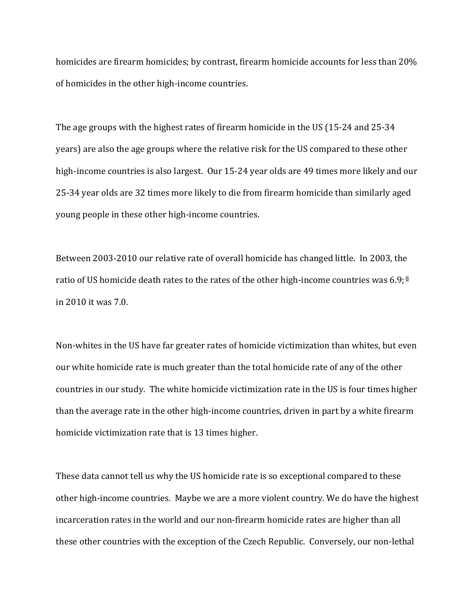homicides are firearm homicides; by contrast, firearm homicide accounts for less than 20% of homicides in the other high-income countries.

The age groups with the highest rates of firearm homicide in the US (15-24 and 25-34 years) are also the age groups where the relative risk for the US compared to these other high-income countries is also largest. Our 15-24 year olds are 49 times more likely and our 25-34 year olds are 32 times more likely to die from firearm homicide than similarly aged young people in these other high-income countries.

Between 2003-2010 our relative rate of overall homicide has changed little. In 2003, the ratio of US homicide death rates to the rates of the other high-income countries was 6.9;  $\frac{8}{5}$ in 2010 it was 7.0. 

Non-whites in the US have far greater rates of homicide victimization than whites, but even our white homicide rate is much greater than the total homicide rate of any of the other countries in our study. The white homicide victimization rate in the US is four times higher than the average rate in the other high-income countries, driven in part by a white firearm homicide victimization rate that is 13 times higher.

These data cannot tell us why the US homicide rate is so exceptional compared to these other high-income countries. Maybe we are a more violent country. We do have the highest incarceration rates in the world and our non-firearm homicide rates are higher than all these other countries with the exception of the Czech Republic. Conversely, our non-lethal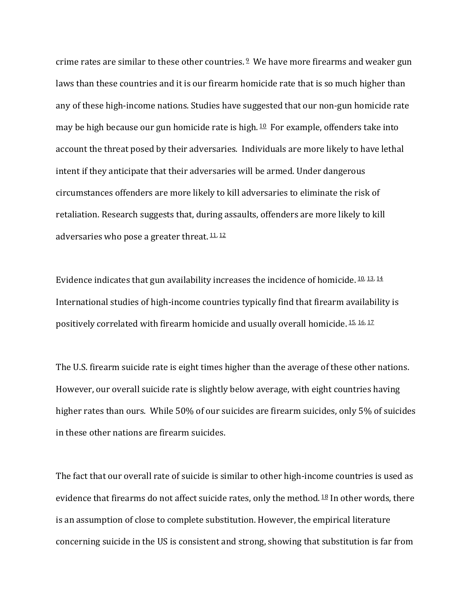crime rates are similar to these other countries.  $2 \cdot W$ e have more firearms and weaker gun laws than these countries and it is our firearm homicide rate that is so much higher than any of these high-income nations. Studies have suggested that our non-gun homicide rate may be high because our gun homicide rate is high.  $10$  For example, offenders take into account the threat posed by their adversaries. Individuals are more likely to have lethal intent if they anticipate that their adversaries will be armed. Under dangerous circumstances offenders are more likely to kill adversaries to eliminate the risk of retaliation. Research suggests that, during assaults, offenders are more likely to kill adversaries who pose a greater threat.  $11, 12$ 

Evidence indicates that gun availability increases the incidence of homicide.  $10, 13, 14$ International studies of high-income countries typically find that firearm availability is positively correlated with firearm homicide and usually overall homicide. 15, 16, 17

The U.S. firearm suicide rate is eight times higher than the average of these other nations. However, our overall suicide rate is slightly below average, with eight countries having higher rates than ours. While 50% of our suicides are firearm suicides, only 5% of suicides in these other nations are firearm suicides.

The fact that our overall rate of suicide is similar to other high-income countries is used as evidence that firearms do not affect suicide rates, only the method.  $18$  In other words, there is an assumption of close to complete substitution. However, the empirical literature concerning suicide in the US is consistent and strong, showing that substitution is far from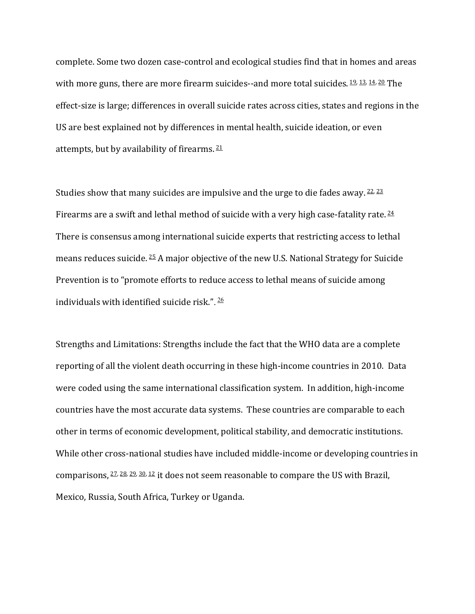complete. Some two dozen case-control and ecological studies find that in homes and areas with more guns, there are more firearm suicides--and more total suicides.  $19, 13, 14, 20$  The effect-size is large; differences in overall suicide rates across cities, states and regions in the US are best explained not by differences in mental health, suicide ideation, or even attempts, but by availability of firearms.  $21$ 

Studies show that many suicides are impulsive and the urge to die fades away.  $22, 23$ Firearms are a swift and lethal method of suicide with a very high case-fatality rate.  $24$ There is consensus among international suicide experts that restricting access to lethal means reduces suicide.  $25$  A major objective of the new U.S. National Strategy for Suicide Prevention is to "promote efforts to reduce access to lethal means of suicide among individuals with identified suicide risk.".  $\frac{26}{5}$ 

Strengths and Limitations: Strengths include the fact that the WHO data are a complete reporting of all the violent death occurring in these high-income countries in 2010. Data were coded using the same international classification system. In addition, high-income countries have the most accurate data systems. These countries are comparable to each other in terms of economic development, political stability, and democratic institutions. While other cross-national studies have included middle-income or developing countries in comparisons,  $27, 28, 29, 30, 12$  it does not seem reasonable to compare the US with Brazil, Mexico, Russia, South Africa, Turkey or Uganda.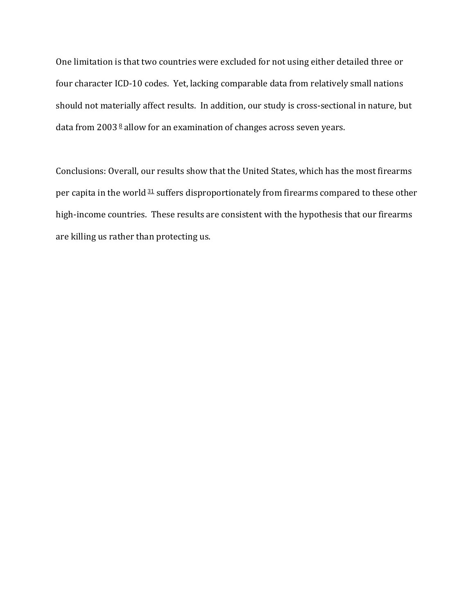One limitation is that two countries were excluded for not using either detailed three or four character ICD-10 codes. Yet, lacking comparable data from relatively small nations should not materially affect results. In addition, our study is cross-sectional in nature, but data from  $2003<sup>8</sup>$  allow for an examination of changes across seven years.

Conclusions: Overall, our results show that the United States, which has the most firearms per capita in the world  $31$  suffers disproportionately from firearms compared to these other high-income countries. These results are consistent with the hypothesis that our firearms are killing us rather than protecting us.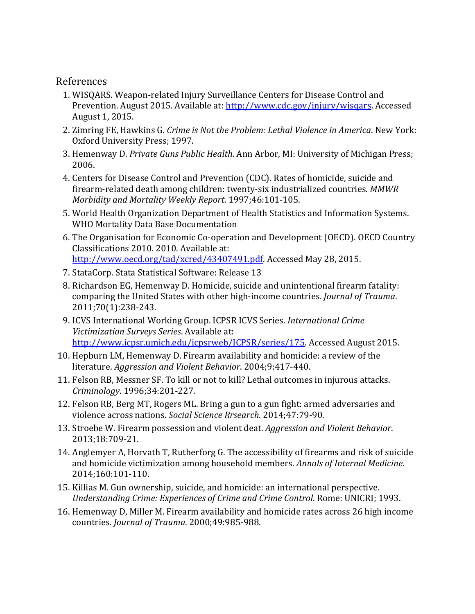### References

- 1. WISQARS. Weapon-related Injury Surveillance Centers for Disease Control and Prevention. August 2015. Available at: http://www.cdc.gov/injury/wisgars. Accessed August 1, 2015.
- 2. Zimring FE, Hawkins G. *Crime is Not the Problem: Lethal Violence in America*. New York: Oxford University Press; 1997.
- 3. Hemenway D. *Private Guns Public Health*. Ann Arbor, MI: University of Michigan Press; 2006.
- 4. Centers for Disease Control and Prevention (CDC). Rates of homicide, suicide and firearm-related death among children: twenty-six industrialized countries. MMWR *Morbidity and Mortality Weekly Report.* 1997;46:101-105.
- 5. World Health Organization Department of Health Statistics and Information Systems. WHO Mortality Data Base Documentation
- 6. The Organisation for Economic Co-operation and Development (OECD). OECD Country Classifications 2010. 2010. Available at: http://www.oecd.org/tad/xcred/43407491.pdf. Accessed May 28, 2015.
- 7. StataCorp. Stata Statistical Software: Release 13
- 8. Richardson EG, Hemenway D. Homicide, suicide and unintentional firearm fatality: comparing the United States with other high-income countries. *Journal of Trauma*. 2011;70(1):238-243.
- 9. ICVS International Working Group. ICPSR ICVS Series. *International Crime Victimization Surveys Series*. Available at: http://www.icpsr.umich.edu/icpsrweb/ICPSR/series/175. Accessed August 2015.
- 10. Hepburn LM, Hemenway D. Firearm availability and homicide: a review of the literature. *Aggression and Violent Behavior*. 2004;9:417-440.
- 11. Felson RB, Messner SF. To kill or not to kill? Lethal outcomes in injurous attacks. *Criminology*. 1996;34:201-227.
- 12. Felson RB, Berg MT, Rogers ML. Bring a gun to a gun fight: armed adversaries and violence across nations. *Social Science Rrsearch*. 2014;47:79-90.
- 13. Stroebe W. Firearm possession and violent deat. *Aggression and Violent Behavior*. 2013;18:709-21.
- 14. Anglemyer A, Horvath T, Rutherforg G. The accessibility of firearms and risk of suicide and homicide victimization among household members. Annals of Internal Medicine. 2014;160:101-110.
- 15. Killias M. Gun ownership, suicide, and homicide: an international perspective. *Understanding Crime: Experiences of Crime and Crime Control. Rome: UNICRI; 1993.*
- 16. Hemenway D, Miller M. Firearm availability and homicide rates across 26 high income countries. *Journal of Trauma*. 2000;49:985-988.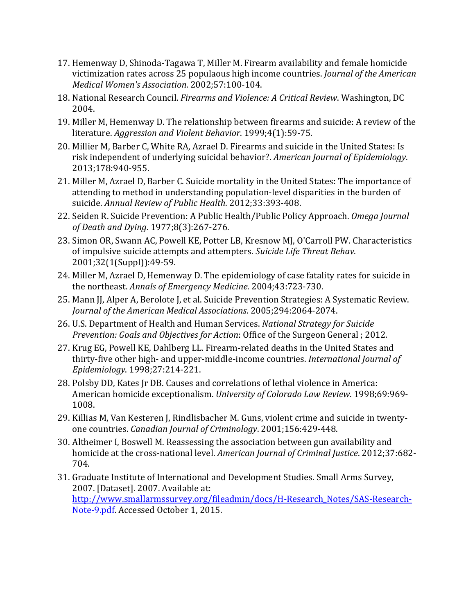- 17. Hemenway D, Shinoda-Tagawa T, Miller M. Firearm availability and female homicide victimization rates across 25 populaous high income countries. *Journal of the American Medical Women's Association*. 2002;57:100-104.
- 18. National Research Council. *Firearms and Violence: A Critical Review*. Washington, DC 2004.
- 19. Miller M, Hemenway D. The relationship between firearms and suicide: A review of the literature. *Aggression and Violent Behavior*. 1999;4(1):59-75.
- 20. Millier M, Barber C, White RA, Azrael D. Firearms and suicide in the United States: Is risk independent of underlying suicidal behavior?. American Journal of Epidemiology. 2013;178:940-955.
- 21. Miller M, Azrael D, Barber C. Suicide mortality in the United States: The importance of attending to method in understanding population-level disparities in the burden of suicide. *Annual Review of Public Health*. 2012;33:393-408.
- 22. Seiden R. Suicide Prevention: A Public Health/Public Policy Approach. *Omega Journal of Death and Dying*. 1977;8(3):267-276.
- 23. Simon OR, Swann AC, Powell KE, Potter LB, Kresnow MJ, O'Carroll PW. Characteristics of impulsive suicide attempts and attempters. Suicide Life Threat Behav. 2001;32(1(Suppl)):49-59.
- 24. Miller M, Azrael D, Hemenway D. The epidemiology of case fatality rates for suicide in the northeast. Annals of Emergency Medicine. 2004;43:723-730.
- 25. Mann JJ, Alper A, Berolote J, et al. Suicide Prevention Strategies: A Systematic Review. *Journal of the American Medical Associations.* 2005;294:2064-2074.
- 26. U.S. Department of Health and Human Services. *National Strategy for Suicide Prevention: Goals and Objectives for Action: Office of the Surgeon General ; 2012.*
- 27. Krug EG, Powell KE, Dahlberg LL. Firearm-related deaths in the United States and thirty-five other high- and upper-middle-income countries. *International Journal of Epidemiology*. 1998;27:214-221.
- 28. Polsby DD, Kates Jr DB. Causes and correlations of lethal violence in America: American homicide exceptionalism. *University of Colorado Law Review*. 1998;69:969-1008.
- 29. Killias M, Van Kesteren J, Rindlisbacher M. Guns, violent crime and suicide in twentyone countries. *Canadian Journal of Criminology*. 2001;156:429-448.
- 30. Altheimer I, Boswell M. Reassessing the association between gun availability and homicide at the cross-national level. American Journal of Criminal Justice. 2012;37:682-704.
- 31. Graduate Institute of International and Development Studies. Small Arms Survey, 2007. [Dataset]. 2007. Available at: http://www.smallarmssurvey.org/fileadmin/docs/H-Research\_Notes/SAS-Research-Note-9.pdf. Accessed October 1, 2015.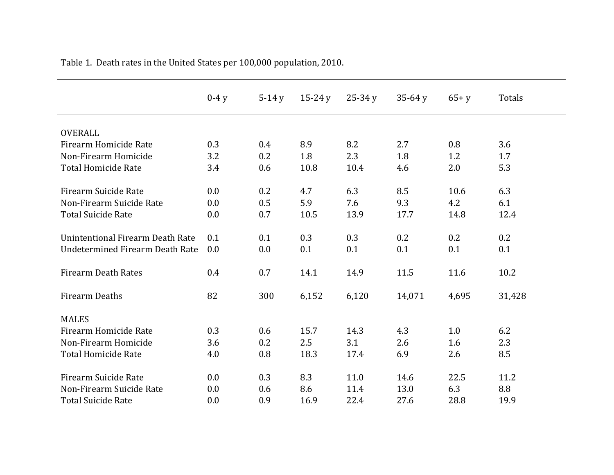|                                  | $0-4y$ | $5-14y$ | $15-24y$ | $25-34y$ | $35-64y$ | $65 + y$ | Totals |
|----------------------------------|--------|---------|----------|----------|----------|----------|--------|
| <b>OVERALL</b>                   |        |         |          |          |          |          |        |
| Firearm Homicide Rate            | 0.3    | 0.4     | 8.9      | 8.2      | 2.7      | 0.8      | 3.6    |
| Non-Firearm Homicide             | 3.2    | 0.2     | 1.8      | 2.3      | 1.8      | 1.2      | 1.7    |
| <b>Total Homicide Rate</b>       | 3.4    | 0.6     | 10.8     | 10.4     | 4.6      | 2.0      | 5.3    |
| Firearm Suicide Rate             | 0.0    | 0.2     | 4.7      | 6.3      | 8.5      | 10.6     | 6.3    |
| Non-Firearm Suicide Rate         | 0.0    | 0.5     | 5.9      | 7.6      | 9.3      | 4.2      | 6.1    |
| <b>Total Suicide Rate</b>        | 0.0    | 0.7     | 10.5     | 13.9     | 17.7     | 14.8     | 12.4   |
| Unintentional Firearm Death Rate | 0.1    | 0.1     | 0.3      | 0.3      | 0.2      | 0.2      | 0.2    |
| Undetermined Firearm Death Rate  | 0.0    | 0.0     | 0.1      | 0.1      | 0.1      | 0.1      | 0.1    |
| <b>Firearm Death Rates</b>       | 0.4    | 0.7     | 14.1     | 14.9     | 11.5     | 11.6     | 10.2   |
| Firearm Deaths                   | 82     | 300     | 6,152    | 6,120    | 14,071   | 4,695    | 31,428 |
| <b>MALES</b>                     |        |         |          |          |          |          |        |
| Firearm Homicide Rate            | 0.3    | 0.6     | 15.7     | 14.3     | 4.3      | 1.0      | 6.2    |
| Non-Firearm Homicide             | 3.6    | 0.2     | 2.5      | 3.1      | 2.6      | 1.6      | 2.3    |
| <b>Total Homicide Rate</b>       | 4.0    | 0.8     | 18.3     | 17.4     | 6.9      | 2.6      | 8.5    |
| Firearm Suicide Rate             | 0.0    | 0.3     | 8.3      | 11.0     | 14.6     | 22.5     | 11.2   |
| Non-Firearm Suicide Rate         | 0.0    | 0.6     | 8.6      | 11.4     | 13.0     | 6.3      | 8.8    |
| <b>Total Suicide Rate</b>        | 0.0    | 0.9     | 16.9     | 22.4     | 27.6     | 28.8     | 19.9   |

Table 1. Death rates in the United States per 100,000 population, 2010.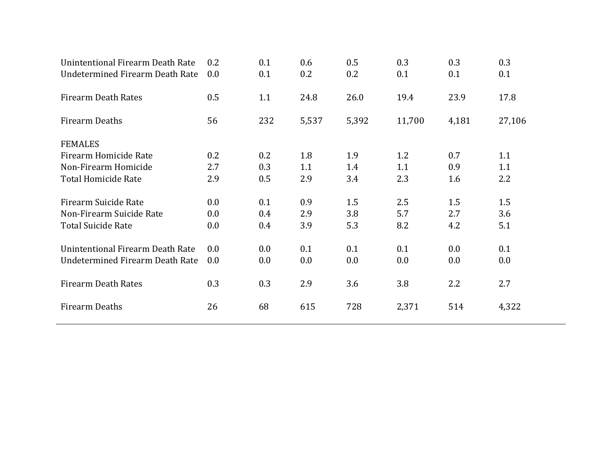| Unintentional Firearm Death Rate       | 0.2 | 0.1     | 0.6   | 0.5     | 0.3    | 0.3   | 0.3     |
|----------------------------------------|-----|---------|-------|---------|--------|-------|---------|
| Undetermined Firearm Death Rate        | 0.0 | 0.1     | 0.2   | 0.2     | 0.1    | 0.1   | 0.1     |
| <b>Firearm Death Rates</b>             | 0.5 | 1.1     | 24.8  | 26.0    | 19.4   | 23.9  | 17.8    |
| Firearm Deaths                         | 56  | 232     | 5,537 | 5,392   | 11,700 | 4,181 | 27,106  |
| <b>FEMALES</b>                         |     |         |       |         |        |       |         |
| Firearm Homicide Rate                  | 0.2 | 0.2     | 1.8   | 1.9     | 1.2    | 0.7   | 1.1     |
| Non-Firearm Homicide                   | 2.7 | 0.3     | 1.1   | 1.4     | 1.1    | 0.9   | 1.1     |
| Total Homicide Rate                    | 2.9 | 0.5     | 2.9   | 3.4     | 2.3    | 1.6   | 2.2     |
| Firearm Suicide Rate                   | 0.0 | 0.1     | 0.9   | 1.5     | 2.5    | 1.5   | 1.5     |
| Non-Firearm Suicide Rate               | 0.0 | $0.4\,$ | 2.9   | 3.8     | 5.7    | 2.7   | 3.6     |
| <b>Total Suicide Rate</b>              | 0.0 | $0.4\,$ | 3.9   | 5.3     | 8.2    | 4.2   | 5.1     |
| Unintentional Firearm Death Rate       | 0.0 | 0.0     | 0.1   | 0.1     | 0.1    | 0.0   | 0.1     |
| <b>Undetermined Firearm Death Rate</b> | 0.0 | $0.0\,$ | 0.0   | $0.0\,$ | 0.0    | 0.0   | $0.0\,$ |
| <b>Firearm Death Rates</b>             | 0.3 | 0.3     | 2.9   | 3.6     | 3.8    | 2.2   | 2.7     |
| <b>Firearm Deaths</b>                  | 26  | 68      | 615   | 728     | 2,371  | 514   | 4,322   |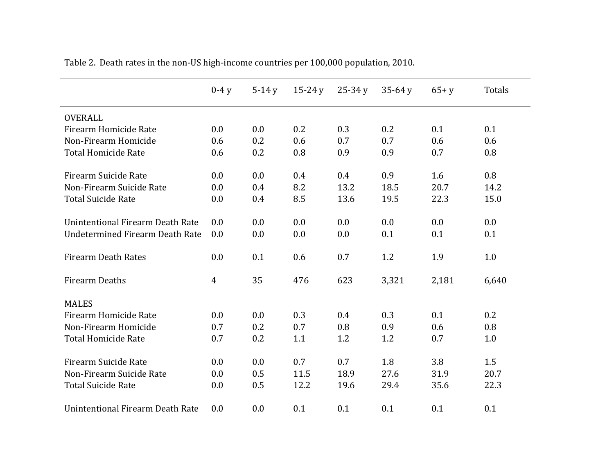|                                  | $0-4y$ | $5-14y$ | $15-24y$ | $25-34y$ | $35-64y$ | $65 + y$ | <b>Totals</b> |
|----------------------------------|--------|---------|----------|----------|----------|----------|---------------|
| <b>OVERALL</b>                   |        |         |          |          |          |          |               |
| Firearm Homicide Rate            | 0.0    | 0.0     | 0.2      | 0.3      | 0.2      | 0.1      | 0.1           |
| Non-Firearm Homicide             | 0.6    | 0.2     | 0.6      | 0.7      | 0.7      | 0.6      | 0.6           |
| <b>Total Homicide Rate</b>       | 0.6    | 0.2     | 0.8      | 0.9      | 0.9      | 0.7      | 0.8           |
| Firearm Suicide Rate             | 0.0    | 0.0     | 0.4      | 0.4      | 0.9      | 1.6      | 0.8           |
| Non-Firearm Suicide Rate         | 0.0    | 0.4     | 8.2      | 13.2     | 18.5     | 20.7     | 14.2          |
| <b>Total Suicide Rate</b>        | 0.0    | 0.4     | 8.5      | 13.6     | 19.5     | 22.3     | 15.0          |
| Unintentional Firearm Death Rate | 0.0    | 0.0     | 0.0      | 0.0      | 0.0      | 0.0      | 0.0           |
| Undetermined Firearm Death Rate  | 0.0    | 0.0     | 0.0      | 0.0      | 0.1      | 0.1      | 0.1           |
| <b>Firearm Death Rates</b>       | 0.0    | 0.1     | 0.6      | 0.7      | 1.2      | 1.9      | 1.0           |
| <b>Firearm Deaths</b>            | 4      | 35      | 476      | 623      | 3,321    | 2,181    | 6,640         |
| <b>MALES</b>                     |        |         |          |          |          |          |               |
| Firearm Homicide Rate            | 0.0    | 0.0     | 0.3      | 0.4      | 0.3      | 0.1      | 0.2           |
| Non-Firearm Homicide             | 0.7    | 0.2     | 0.7      | 0.8      | 0.9      | 0.6      | 0.8           |
| <b>Total Homicide Rate</b>       | 0.7    | 0.2     | 1.1      | 1.2      | 1.2      | 0.7      | 1.0           |
| Firearm Suicide Rate             | 0.0    | 0.0     | 0.7      | 0.7      | 1.8      | 3.8      | 1.5           |
| Non-Firearm Suicide Rate         | 0.0    | 0.5     | 11.5     | 18.9     | 27.6     | 31.9     | 20.7          |
| <b>Total Suicide Rate</b>        | 0.0    | 0.5     | 12.2     | 19.6     | 29.4     | 35.6     | 22.3          |
| Unintentional Firearm Death Rate | 0.0    | 0.0     | 0.1      | 0.1      | 0.1      | 0.1      | 0.1           |

Table 2. Death rates in the non-US high-income countries per 100,000 population, 2010.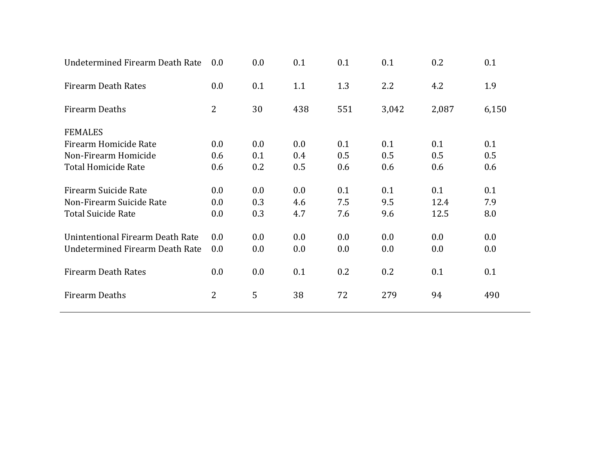| Undetermined Firearm Death Rate  | 0.0            | $0.0\,$ | 0.1 | 0.1 | 0.1   | 0.2   | 0.1     |
|----------------------------------|----------------|---------|-----|-----|-------|-------|---------|
| <b>Firearm Death Rates</b>       | 0.0            | 0.1     | 1.1 | 1.3 | 2.2   | 4.2   | 1.9     |
| <b>Firearm Deaths</b>            | 2              | 30      | 438 | 551 | 3,042 | 2,087 | 6,150   |
| <b>FEMALES</b>                   |                |         |     |     |       |       |         |
| Firearm Homicide Rate            | 0.0            | 0.0     | 0.0 | 0.1 | 0.1   | 0.1   | 0.1     |
| Non-Firearm Homicide             | 0.6            | 0.1     | 0.4 | 0.5 | 0.5   | 0.5   | 0.5     |
| <b>Total Homicide Rate</b>       | 0.6            | 0.2     | 0.5 | 0.6 | 0.6   | 0.6   | 0.6     |
| Firearm Suicide Rate             | 0.0            | 0.0     | 0.0 | 0.1 | 0.1   | 0.1   | 0.1     |
| Non-Firearm Suicide Rate         | 0.0            | 0.3     | 4.6 | 7.5 | 9.5   | 12.4  | 7.9     |
| <b>Total Suicide Rate</b>        | 0.0            | 0.3     | 4.7 | 7.6 | 9.6   | 12.5  | 8.0     |
| Unintentional Firearm Death Rate | 0.0            | 0.0     | 0.0 | 0.0 | 0.0   | 0.0   | 0.0     |
| Undetermined Firearm Death Rate  | 0.0            | $0.0\,$ | 0.0 | 0.0 | 0.0   | 0.0   | $0.0\,$ |
| <b>Firearm Death Rates</b>       | 0.0            | 0.0     | 0.1 | 0.2 | 0.2   | 0.1   | 0.1     |
| <b>Firearm Deaths</b>            | $\overline{2}$ | 5       | 38  | 72  | 279   | 94    | 490     |
|                                  |                |         |     |     |       |       |         |

 $\overline{\phantom{0}}$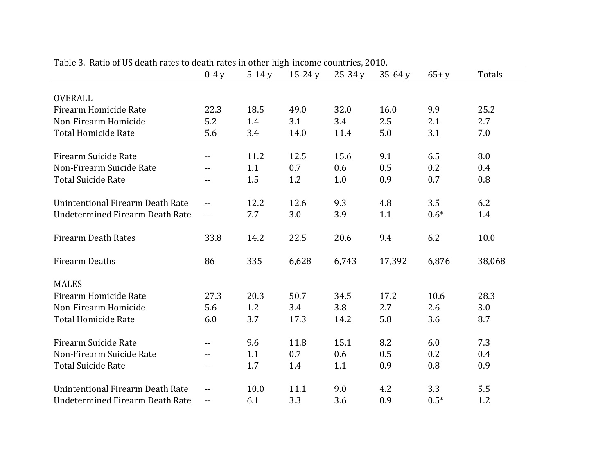|                                         | $0-4y$ | $5-14y$ | $15 - 24y$ | $25-34y$ | $35-64y$ | $65 + y$ | Totals |
|-----------------------------------------|--------|---------|------------|----------|----------|----------|--------|
|                                         |        |         |            |          |          |          |        |
| <b>OVERALL</b>                          |        |         |            |          |          |          |        |
| Firearm Homicide Rate                   | 22.3   | 18.5    | 49.0       | 32.0     | 16.0     | 9.9      | 25.2   |
| Non-Firearm Homicide                    | 5.2    | 1.4     | 3.1        | 3.4      | 2.5      | 2.1      | 2.7    |
| <b>Total Homicide Rate</b>              | 5.6    | 3.4     | 14.0       | 11.4     | 5.0      | 3.1      | 7.0    |
| <b>Firearm Suicide Rate</b>             | $-$    | 11.2    | 12.5       | 15.6     | 9.1      | 6.5      | 8.0    |
| Non-Firearm Suicide Rate                | $-$    | 1.1     | 0.7        | 0.6      | 0.5      | 0.2      | 0.4    |
| <b>Total Suicide Rate</b>               | $-$    | 1.5     | 1.2        | 1.0      | 0.9      | 0.7      | 0.8    |
| <b>Unintentional Firearm Death Rate</b> | $- -$  | 12.2    | 12.6       | 9.3      | 4.8      | 3.5      | 6.2    |
| <b>Undetermined Firearm Death Rate</b>  | $- -$  | 7.7     | 3.0        | 3.9      | 1.1      | $0.6*$   | 1.4    |
| <b>Firearm Death Rates</b>              | 33.8   | 14.2    | 22.5       | 20.6     | 9.4      | 6.2      | 10.0   |
| <b>Firearm Deaths</b>                   | 86     | 335     | 6,628      | 6,743    | 17,392   | 6,876    | 38,068 |
| <b>MALES</b>                            |        |         |            |          |          |          |        |
| Firearm Homicide Rate                   | 27.3   | 20.3    | 50.7       | 34.5     | 17.2     | 10.6     | 28.3   |
| Non-Firearm Homicide                    | 5.6    | 1.2     | 3.4        | 3.8      | 2.7      | 2.6      | 3.0    |
| <b>Total Homicide Rate</b>              | 6.0    | 3.7     | 17.3       | 14.2     | 5.8      | 3.6      | 8.7    |
| <b>Firearm Suicide Rate</b>             | $- -$  | 9.6     | 11.8       | 15.1     | 8.2      | 6.0      | 7.3    |
| Non-Firearm Suicide Rate                | $- -$  | 1.1     | 0.7        | 0.6      | 0.5      | 0.2      | 0.4    |
| <b>Total Suicide Rate</b>               | --     | 1.7     | 1.4        | 1.1      | 0.9      | 0.8      | 0.9    |
| Unintentional Firearm Death Rate        | $-$    | 10.0    | 11.1       | 9.0      | 4.2      | 3.3      | 5.5    |
| <b>Undetermined Firearm Death Rate</b>  | $- -$  | 6.1     | 3.3        | 3.6      | 0.9      | $0.5*$   | 1.2    |

Table 3. Ratio of US death rates to death rates in other high-income countries, 2010.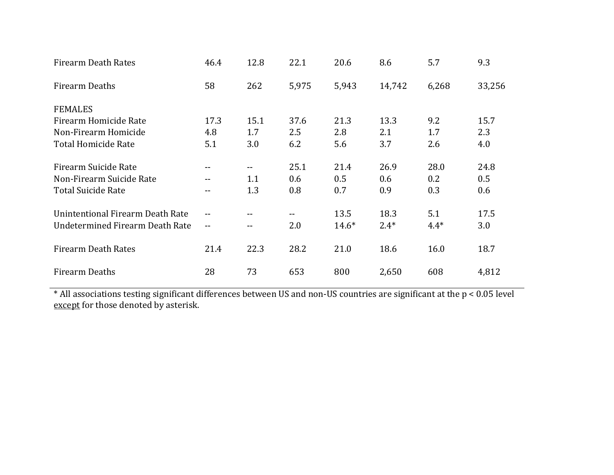| Firearm Death Rates              | 46.4              | 12.8       | 22.1  | 20.6    | 8.6    | 5.7    | 9.3    |
|----------------------------------|-------------------|------------|-------|---------|--------|--------|--------|
| Firearm Deaths                   | 58                | 262        | 5,975 | 5,943   | 14,742 | 6,268  | 33,256 |
| <b>FEMALES</b>                   |                   |            |       |         |        |        |        |
| Firearm Homicide Rate            | 17.3              | 15.1       | 37.6  | 21.3    | 13.3   | 9.2    | 15.7   |
| Non-Firearm Homicide             | 4.8               | 1.7        | 2.5   | 2.8     | 2.1    | 1.7    | 2.3    |
| <b>Total Homicide Rate</b>       | 5.1               | 3.0        | 6.2   | 5.6     | 3.7    | 2.6    | 4.0    |
| Firearm Suicide Rate             | --                | $\sim$ $-$ | 25.1  | 21.4    | 26.9   | 28.0   | 24.8   |
| Non-Firearm Suicide Rate         | --                | 1.1        | 0.6   | 0.5     | 0.6    | 0.2    | 0.5    |
| <b>Total Suicide Rate</b>        | --                | 1.3        | 0.8   | 0.7     | 0.9    | 0.3    | 0.6    |
| Unintentional Firearm Death Rate | --                | --         | $- -$ | 13.5    | 18.3   | 5.1    | 17.5   |
| Undetermined Firearm Death Rate  | $\qquad \qquad -$ | --         | 2.0   | $14.6*$ | $2.4*$ | $4.4*$ | 3.0    |
| <b>Firearm Death Rates</b>       | 21.4              | 22.3       | 28.2  | 21.0    | 18.6   | 16.0   | 18.7   |
| <b>Firearm Deaths</b>            | 28                | 73         | 653   | 800     | 2,650  | 608    | 4,812  |

\* All associations testing significant differences between US and non-US countries are significant at the p < 0.05 level except for those denoted by asterisk.